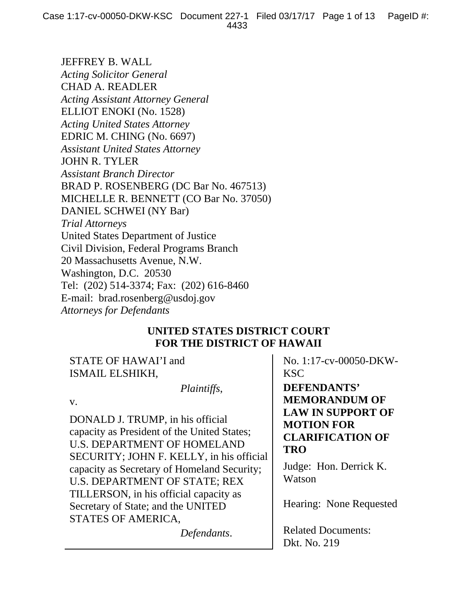JEFFREY B. WALL *Acting Solicitor General*  CHAD A. READLER *Acting Assistant Attorney General*  ELLIOT ENOKI (No. 1528) *Acting United States Attorney*  EDRIC M. CHING (No. 6697) *Assistant United States Attorney*  JOHN R. TYLER *Assistant Branch Director*  BRAD P. ROSENBERG (DC Bar No. 467513) MICHELLE R. BENNETT (CO Bar No. 37050) DANIEL SCHWEI (NY Bar) *Trial Attorneys*  United States Department of Justice Civil Division, Federal Programs Branch 20 Massachusetts Avenue, N.W. Washington, D.C. 20530 Tel: (202) 514-3374; Fax: (202) 616-8460 E-mail: brad.rosenberg@usdoj.gov *Attorneys for Defendants*

# **UNITED STATES DISTRICT COURT FOR THE DISTRICT OF HAWAII**

STATE OF HAWAI'I and ISMAIL ELSHIKH,

 *Plaintiffs*,

v.

DONALD J. TRUMP, in his official capacity as President of the United States; U.S. DEPARTMENT OF HOMELAND SECURITY; JOHN F. KELLY, in his official capacity as Secretary of Homeland Security; U.S. DEPARTMENT OF STATE; REX TILLERSON, in his official capacity as Secretary of State; and the UNITED STATES OF AMERICA,

*Defendants*.

No. 1:17-cv-00050-DKW-KSC

**DEFENDANTS' MEMORANDUM OF LAW IN SUPPORT OF MOTION FOR CLARIFICATION OF TRO**

Judge: Hon. Derrick K. Watson

Hearing: None Requested

Related Documents: Dkt. No. 219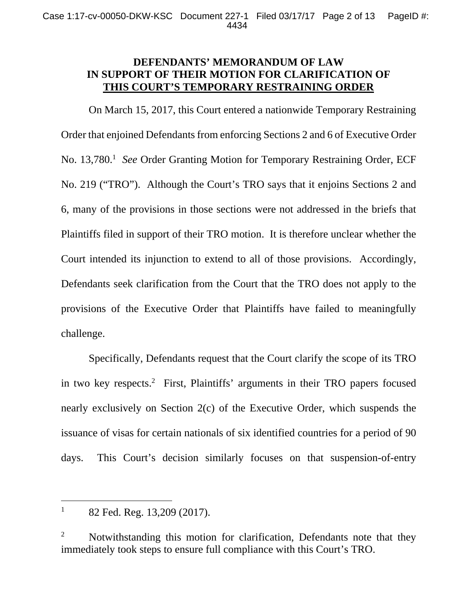# **DEFENDANTS' MEMORANDUM OF LAW IN SUPPORT OF THEIR MOTION FOR CLARIFICATION OF THIS COURT'S TEMPORARY RESTRAINING ORDER**

On March 15, 2017, this Court entered a nationwide Temporary Restraining Order that enjoined Defendants from enforcing Sections 2 and 6 of Executive Order No. 13,780.<sup>1</sup> See Order Granting Motion for Temporary Restraining Order, ECF No. 219 ("TRO"). Although the Court's TRO says that it enjoins Sections 2 and 6, many of the provisions in those sections were not addressed in the briefs that Plaintiffs filed in support of their TRO motion. It is therefore unclear whether the Court intended its injunction to extend to all of those provisions. Accordingly, Defendants seek clarification from the Court that the TRO does not apply to the provisions of the Executive Order that Plaintiffs have failed to meaningfully challenge.

Specifically, Defendants request that the Court clarify the scope of its TRO in two key respects.2 First, Plaintiffs' arguments in their TRO papers focused nearly exclusively on Section 2(c) of the Executive Order, which suspends the issuance of visas for certain nationals of six identified countries for a period of 90 days. This Court's decision similarly focuses on that suspension-of-entry

 $\overline{a}$ 1 82 Fed. Reg. 13,209 (2017).

<sup>2</sup> Notwithstanding this motion for clarification, Defendants note that they immediately took steps to ensure full compliance with this Court's TRO.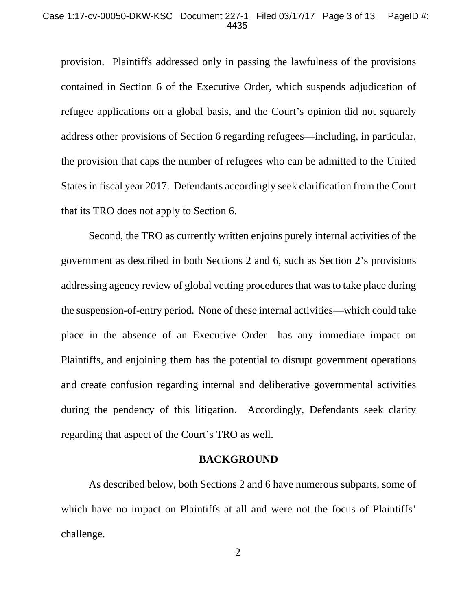#### Case 1:17-cv-00050-DKW-KSC Document 227-1 Filed 03/17/17 Page 3 of 13 PageID #: 4435

provision. Plaintiffs addressed only in passing the lawfulness of the provisions contained in Section 6 of the Executive Order, which suspends adjudication of refugee applications on a global basis, and the Court's opinion did not squarely address other provisions of Section 6 regarding refugees—including, in particular, the provision that caps the number of refugees who can be admitted to the United States in fiscal year 2017. Defendants accordingly seek clarification from the Court that its TRO does not apply to Section 6.

Second, the TRO as currently written enjoins purely internal activities of the government as described in both Sections 2 and 6, such as Section 2's provisions addressing agency review of global vetting procedures that was to take place during the suspension-of-entry period. None of these internal activities—which could take place in the absence of an Executive Order—has any immediate impact on Plaintiffs, and enjoining them has the potential to disrupt government operations and create confusion regarding internal and deliberative governmental activities during the pendency of this litigation. Accordingly, Defendants seek clarity regarding that aspect of the Court's TRO as well.

### **BACKGROUND**

As described below, both Sections 2 and 6 have numerous subparts, some of which have no impact on Plaintiffs at all and were not the focus of Plaintiffs' challenge.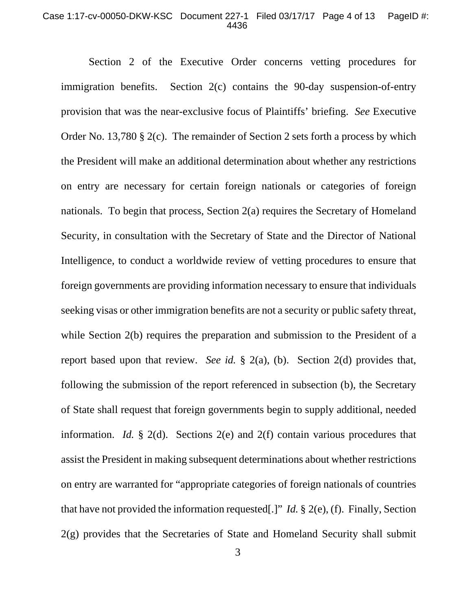#### Case 1:17-cv-00050-DKW-KSC Document 227-1 Filed 03/17/17 Page 4 of 13 PageID #: 4436

Section 2 of the Executive Order concerns vetting procedures for immigration benefits. Section 2(c) contains the 90-day suspension-of-entry provision that was the near-exclusive focus of Plaintiffs' briefing. *See* Executive Order No. 13,780 § 2(c). The remainder of Section 2 sets forth a process by which the President will make an additional determination about whether any restrictions on entry are necessary for certain foreign nationals or categories of foreign nationals. To begin that process, Section 2(a) requires the Secretary of Homeland Security, in consultation with the Secretary of State and the Director of National Intelligence, to conduct a worldwide review of vetting procedures to ensure that foreign governments are providing information necessary to ensure that individuals seeking visas or other immigration benefits are not a security or public safety threat, while Section 2(b) requires the preparation and submission to the President of a report based upon that review. *See id.* § 2(a), (b). Section 2(d) provides that, following the submission of the report referenced in subsection (b), the Secretary of State shall request that foreign governments begin to supply additional, needed information. *Id.* § 2(d). Sections 2(e) and 2(f) contain various procedures that assist the President in making subsequent determinations about whether restrictions on entry are warranted for "appropriate categories of foreign nationals of countries that have not provided the information requested[.]" *Id.* § 2(e), (f). Finally, Section 2(g) provides that the Secretaries of State and Homeland Security shall submit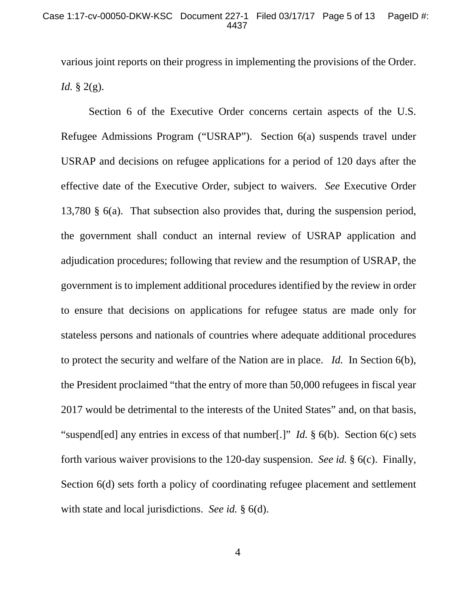various joint reports on their progress in implementing the provisions of the Order. *Id.* § 2(g).

Section 6 of the Executive Order concerns certain aspects of the U.S. Refugee Admissions Program ("USRAP"). Section 6(a) suspends travel under USRAP and decisions on refugee applications for a period of 120 days after the effective date of the Executive Order, subject to waivers. *See* Executive Order 13,780 § 6(a). That subsection also provides that, during the suspension period, the government shall conduct an internal review of USRAP application and adjudication procedures; following that review and the resumption of USRAP, the government is to implement additional procedures identified by the review in order to ensure that decisions on applications for refugee status are made only for stateless persons and nationals of countries where adequate additional procedures to protect the security and welfare of the Nation are in place. *Id.* In Section 6(b), the President proclaimed "that the entry of more than 50,000 refugees in fiscal year 2017 would be detrimental to the interests of the United States" and, on that basis, "suspend[ed] any entries in excess of that number[.]" *Id.* § 6(b). Section 6(c) sets forth various waiver provisions to the 120-day suspension. *See id.* § 6(c). Finally, Section 6(d) sets forth a policy of coordinating refugee placement and settlement with state and local jurisdictions. *See id.* § 6(d).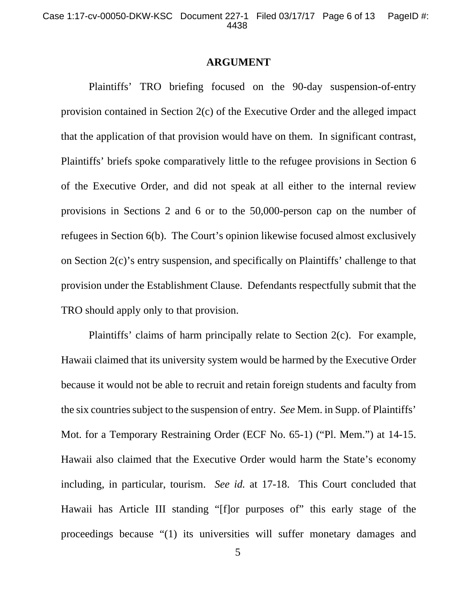#### **ARGUMENT**

Plaintiffs' TRO briefing focused on the 90-day suspension-of-entry provision contained in Section 2(c) of the Executive Order and the alleged impact that the application of that provision would have on them. In significant contrast, Plaintiffs' briefs spoke comparatively little to the refugee provisions in Section 6 of the Executive Order, and did not speak at all either to the internal review provisions in Sections 2 and 6 or to the 50,000-person cap on the number of refugees in Section 6(b). The Court's opinion likewise focused almost exclusively on Section 2(c)'s entry suspension, and specifically on Plaintiffs' challenge to that provision under the Establishment Clause. Defendants respectfully submit that the TRO should apply only to that provision.

Plaintiffs' claims of harm principally relate to Section 2(c). For example, Hawaii claimed that its university system would be harmed by the Executive Order because it would not be able to recruit and retain foreign students and faculty from the six countries subject to the suspension of entry. *See* Mem. in Supp. of Plaintiffs' Mot. for a Temporary Restraining Order (ECF No. 65-1) ("Pl. Mem.") at 14-15. Hawaii also claimed that the Executive Order would harm the State's economy including, in particular, tourism. *See id.* at 17-18. This Court concluded that Hawaii has Article III standing "[f]or purposes of" this early stage of the proceedings because "(1) its universities will suffer monetary damages and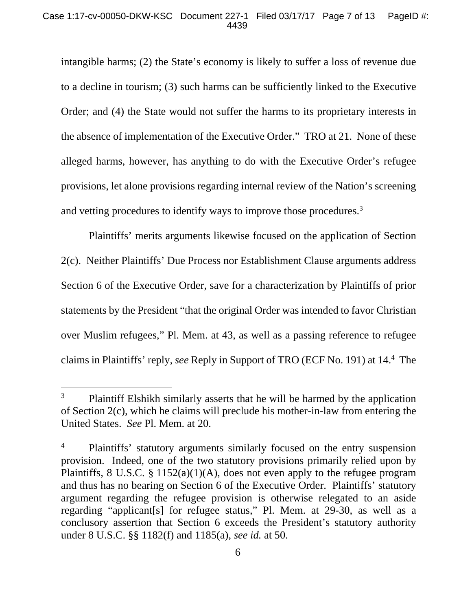intangible harms; (2) the State's economy is likely to suffer a loss of revenue due to a decline in tourism; (3) such harms can be sufficiently linked to the Executive Order; and (4) the State would not suffer the harms to its proprietary interests in the absence of implementation of the Executive Order." TRO at 21. None of these alleged harms, however, has anything to do with the Executive Order's refugee provisions, let alone provisions regarding internal review of the Nation's screening and vetting procedures to identify ways to improve those procedures.<sup>3</sup>

Plaintiffs' merits arguments likewise focused on the application of Section 2(c). Neither Plaintiffs' Due Process nor Establishment Clause arguments address Section 6 of the Executive Order, save for a characterization by Plaintiffs of prior statements by the President "that the original Order was intended to favor Christian over Muslim refugees," Pl. Mem. at 43, as well as a passing reference to refugee claims in Plaintiffs' reply, *see* Reply in Support of TRO (ECF No. 191) at 14.4 The

l

<sup>3</sup> Plaintiff Elshikh similarly asserts that he will be harmed by the application of Section 2(c), which he claims will preclude his mother-in-law from entering the United States. *See* Pl. Mem. at 20.

<sup>4</sup> Plaintiffs' statutory arguments similarly focused on the entry suspension provision. Indeed, one of the two statutory provisions primarily relied upon by Plaintiffs, 8 U.S.C.  $\S 1152(a)(1)(A)$ , does not even apply to the refugee program and thus has no bearing on Section 6 of the Executive Order. Plaintiffs' statutory argument regarding the refugee provision is otherwise relegated to an aside regarding "applicant[s] for refugee status," Pl. Mem. at 29-30, as well as a conclusory assertion that Section 6 exceeds the President's statutory authority under 8 U.S.C. §§ 1182(f) and 1185(a), *see id.* at 50.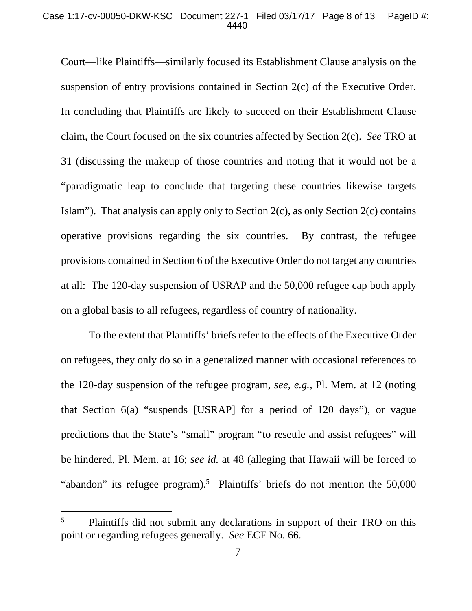Court—like Plaintiffs—similarly focused its Establishment Clause analysis on the suspension of entry provisions contained in Section 2(c) of the Executive Order. In concluding that Plaintiffs are likely to succeed on their Establishment Clause claim, the Court focused on the six countries affected by Section 2(c). *See* TRO at 31 (discussing the makeup of those countries and noting that it would not be a "paradigmatic leap to conclude that targeting these countries likewise targets Islam"). That analysis can apply only to Section 2(c), as only Section 2(c) contains operative provisions regarding the six countries. By contrast, the refugee provisions contained in Section 6 of the Executive Order do not target any countries at all: The 120-day suspension of USRAP and the 50,000 refugee cap both apply on a global basis to all refugees, regardless of country of nationality.

To the extent that Plaintiffs' briefs refer to the effects of the Executive Order on refugees, they only do so in a generalized manner with occasional references to the 120-day suspension of the refugee program, *see, e.g.*, Pl. Mem. at 12 (noting that Section 6(a) "suspends [USRAP] for a period of 120 days"), or vague predictions that the State's "small" program "to resettle and assist refugees" will be hindered, Pl. Mem. at 16; *see id.* at 48 (alleging that Hawaii will be forced to "abandon" its refugee program).<sup>5</sup> Plaintiffs' briefs do not mention the 50,000

 $\overline{a}$ 

<sup>5</sup> Plaintiffs did not submit any declarations in support of their TRO on this point or regarding refugees generally. *See* ECF No. 66.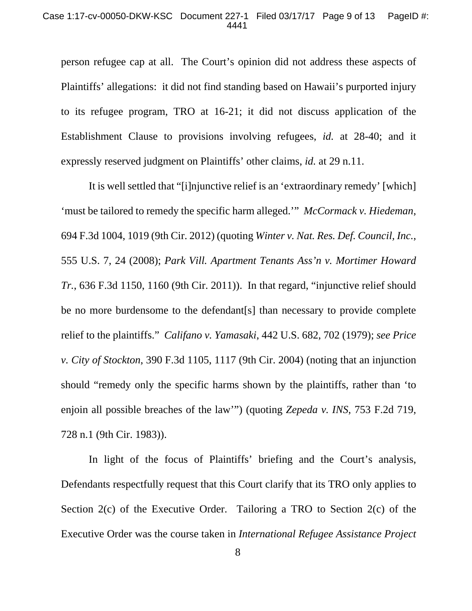#### Case 1:17-cv-00050-DKW-KSC Document 227-1 Filed 03/17/17 Page 9 of 13 PageID #: 4441

person refugee cap at all. The Court's opinion did not address these aspects of Plaintiffs' allegations: it did not find standing based on Hawaii's purported injury to its refugee program, TRO at 16-21; it did not discuss application of the Establishment Clause to provisions involving refugees, *id.* at 28-40; and it expressly reserved judgment on Plaintiffs' other claims, *id.* at 29 n.11.

It is well settled that "[i]njunctive relief is an 'extraordinary remedy' [which] 'must be tailored to remedy the specific harm alleged.'" *McCormack v. Hiedeman*, 694 F.3d 1004, 1019 (9th Cir. 2012) (quoting *Winter v. Nat. Res. Def. Council, Inc.*, 555 U.S. 7, 24 (2008); *Park Vill. Apartment Tenants Ass'n v. Mortimer Howard Tr.*, 636 F.3d 1150, 1160 (9th Cir. 2011)). In that regard, "injunctive relief should be no more burdensome to the defendant[s] than necessary to provide complete relief to the plaintiffs." *Califano v. Yamasaki*, 442 U.S. 682, 702 (1979); *see Price v. City of Stockton*, 390 F.3d 1105, 1117 (9th Cir. 2004) (noting that an injunction should "remedy only the specific harms shown by the plaintiffs, rather than 'to enjoin all possible breaches of the law'") (quoting *Zepeda v. INS*, 753 F.2d 719, 728 n.1 (9th Cir. 1983)).

In light of the focus of Plaintiffs' briefing and the Court's analysis, Defendants respectfully request that this Court clarify that its TRO only applies to Section 2(c) of the Executive Order. Tailoring a TRO to Section 2(c) of the Executive Order was the course taken in *International Refugee Assistance Project*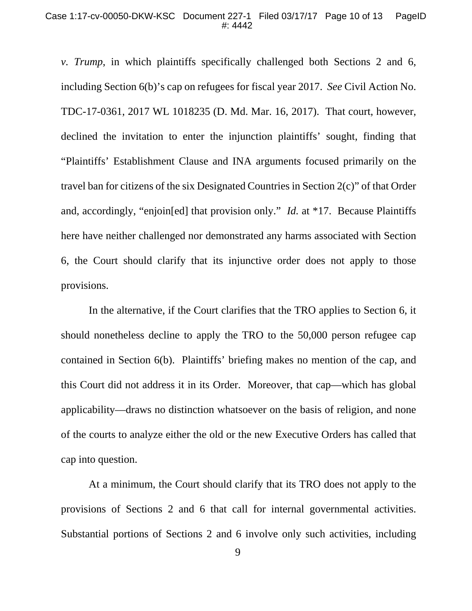*v. Trump*, in which plaintiffs specifically challenged both Sections 2 and 6, including Section 6(b)'s cap on refugees for fiscal year 2017. *See* Civil Action No. TDC-17-0361, 2017 WL 1018235 (D. Md. Mar. 16, 2017). That court, however, declined the invitation to enter the injunction plaintiffs' sought, finding that "Plaintiffs' Establishment Clause and INA arguments focused primarily on the travel ban for citizens of the six Designated Countries in Section 2(c)" of that Order and, accordingly, "enjoin[ed] that provision only." *Id.* at \*17. Because Plaintiffs here have neither challenged nor demonstrated any harms associated with Section 6, the Court should clarify that its injunctive order does not apply to those provisions.

In the alternative, if the Court clarifies that the TRO applies to Section 6, it should nonetheless decline to apply the TRO to the 50,000 person refugee cap contained in Section 6(b). Plaintiffs' briefing makes no mention of the cap, and this Court did not address it in its Order. Moreover, that cap—which has global applicability—draws no distinction whatsoever on the basis of religion, and none of the courts to analyze either the old or the new Executive Orders has called that cap into question.

At a minimum, the Court should clarify that its TRO does not apply to the provisions of Sections 2 and 6 that call for internal governmental activities. Substantial portions of Sections 2 and 6 involve only such activities, including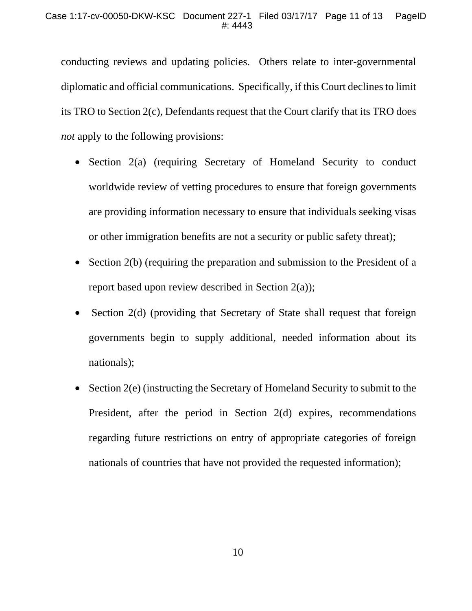conducting reviews and updating policies. Others relate to inter-governmental diplomatic and official communications. Specifically, if this Court declines to limit its TRO to Section 2(c), Defendants request that the Court clarify that its TRO does *not* apply to the following provisions:

- Section 2(a) (requiring Secretary of Homeland Security to conduct worldwide review of vetting procedures to ensure that foreign governments are providing information necessary to ensure that individuals seeking visas or other immigration benefits are not a security or public safety threat);
- Section 2(b) (requiring the preparation and submission to the President of a report based upon review described in Section 2(a));
- Section 2(d) (providing that Secretary of State shall request that foreign governments begin to supply additional, needed information about its nationals);
- Section 2(e) (instructing the Secretary of Homeland Security to submit to the President, after the period in Section 2(d) expires, recommendations regarding future restrictions on entry of appropriate categories of foreign nationals of countries that have not provided the requested information);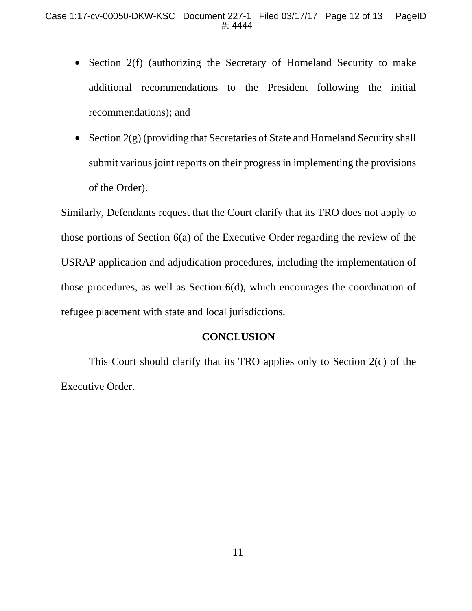- Section 2(f) (authorizing the Secretary of Homeland Security to make additional recommendations to the President following the initial recommendations); and
- Section 2(g) (providing that Secretaries of State and Homeland Security shall submit various joint reports on their progress in implementing the provisions of the Order).

Similarly, Defendants request that the Court clarify that its TRO does not apply to those portions of Section 6(a) of the Executive Order regarding the review of the USRAP application and adjudication procedures, including the implementation of those procedures, as well as Section 6(d), which encourages the coordination of refugee placement with state and local jurisdictions.

## **CONCLUSION**

 This Court should clarify that its TRO applies only to Section 2(c) of the Executive Order.